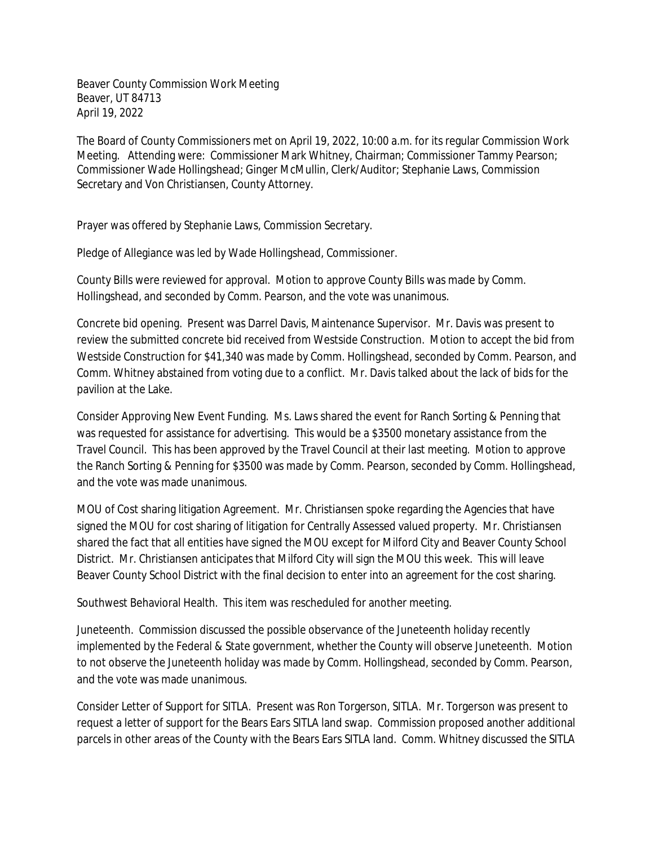Beaver County Commission Work Meeting Beaver, UT 84713 April 19, 2022

The Board of County Commissioners met on April 19, 2022, 10:00 a.m. for its regular Commission Work Meeting. Attending were: Commissioner Mark Whitney, Chairman; Commissioner Tammy Pearson; Commissioner Wade Hollingshead; Ginger McMullin, Clerk/Auditor; Stephanie Laws, Commission Secretary and Von Christiansen, County Attorney.

Prayer was offered by Stephanie Laws, Commission Secretary.

Pledge of Allegiance was led by Wade Hollingshead, Commissioner.

County Bills were reviewed for approval. Motion to approve County Bills was made by Comm. Hollingshead, and seconded by Comm. Pearson, and the vote was unanimous.

Concrete bid opening. Present was Darrel Davis, Maintenance Supervisor. Mr. Davis was present to review the submitted concrete bid received from Westside Construction. Motion to accept the bid from Westside Construction for \$41,340 was made by Comm. Hollingshead, seconded by Comm. Pearson, and Comm. Whitney abstained from voting due to a conflict. Mr. Davis talked about the lack of bids for the pavilion at the Lake.

Consider Approving New Event Funding. Ms. Laws shared the event for Ranch Sorting & Penning that was requested for assistance for advertising. This would be a \$3500 monetary assistance from the Travel Council. This has been approved by the Travel Council at their last meeting. Motion to approve the Ranch Sorting & Penning for \$3500 was made by Comm. Pearson, seconded by Comm. Hollingshead, and the vote was made unanimous.

MOU of Cost sharing litigation Agreement. Mr. Christiansen spoke regarding the Agencies that have signed the MOU for cost sharing of litigation for Centrally Assessed valued property. Mr. Christiansen shared the fact that all entities have signed the MOU except for Milford City and Beaver County School District. Mr. Christiansen anticipates that Milford City will sign the MOU this week. This will leave Beaver County School District with the final decision to enter into an agreement for the cost sharing.

Southwest Behavioral Health. This item was rescheduled for another meeting.

Juneteenth. Commission discussed the possible observance of the Juneteenth holiday recently implemented by the Federal & State government, whether the County will observe Juneteenth. Motion to not observe the Juneteenth holiday was made by Comm. Hollingshead, seconded by Comm. Pearson, and the vote was made unanimous.

Consider Letter of Support for SITLA. Present was Ron Torgerson, SITLA. Mr. Torgerson was present to request a letter of support for the Bears Ears SITLA land swap. Commission proposed another additional parcels in other areas of the County with the Bears Ears SITLA land. Comm. Whitney discussed the SITLA